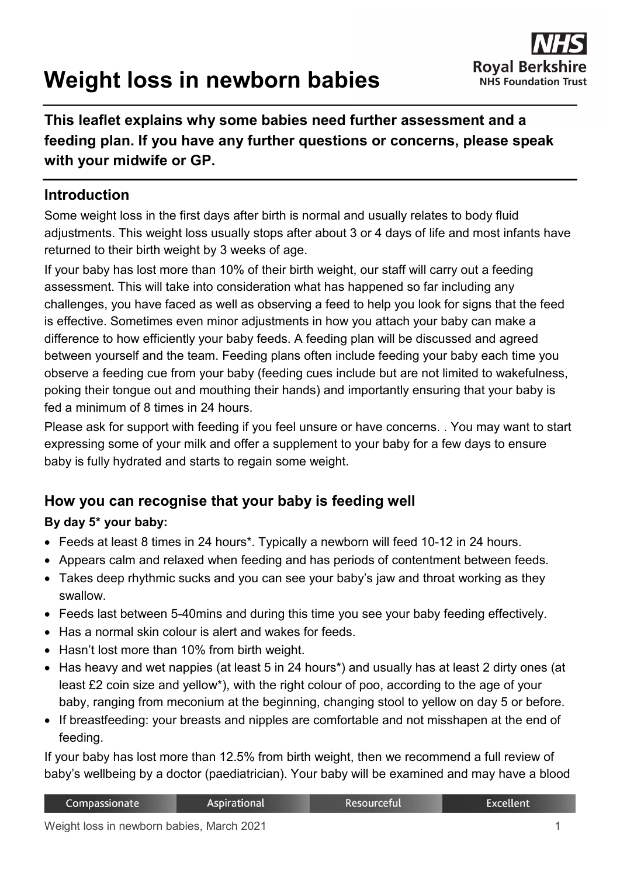# **Weight loss in newborn babies**



# **This leaflet explains why some babies need further assessment and a feeding plan. If you have any further questions or concerns, please speak with your midwife or GP.**

## **Introduction**

Some weight loss in the first days after birth is normal and usually relates to body fluid adjustments. This weight loss usually stops after about 3 or 4 days of life and most infants have returned to their birth weight by 3 weeks of age.

If your baby has lost more than 10% of their birth weight, our staff will carry out a feeding assessment. This will take into consideration what has happened so far including any challenges, you have faced as well as observing a feed to help you look for signs that the feed is effective. Sometimes even minor adjustments in how you attach your baby can make a difference to how efficiently your baby feeds. A feeding plan will be discussed and agreed between yourself and the team. Feeding plans often include feeding your baby each time you observe a feeding cue from your baby (feeding cues include but are not limited to wakefulness, poking their tongue out and mouthing their hands) and importantly ensuring that your baby is fed a minimum of 8 times in 24 hours.

Please ask for support with feeding if you feel unsure or have concerns. . You may want to start expressing some of your milk and offer a supplement to your baby for a few days to ensure baby is fully hydrated and starts to regain some weight.

# **How you can recognise that your baby is feeding well**

#### **By day 5\* your baby:**

- Feeds at least 8 times in 24 hours\*. Typically a newborn will feed 10-12 in 24 hours.
- Appears calm and relaxed when feeding and has periods of contentment between feeds.
- Takes deep rhythmic sucks and you can see your baby's jaw and throat working as they swallow.
- Feeds last between 5-40mins and during this time you see your baby feeding effectively.
- Has a normal skin colour is alert and wakes for feeds.
- Hasn't lost more than 10% from birth weight.
- Has heavy and wet nappies (at least 5 in 24 hours\*) and usually has at least 2 dirty ones (at least £2 coin size and yellow\*), with the right colour of poo, according to the age of your baby, ranging from meconium at the beginning, changing stool to yellow on day 5 or before.
- If breastfeeding: your breasts and nipples are comfortable and not misshapen at the end of feeding.

If your baby has lost more than 12.5% from birth weight, then we recommend a full review of baby's wellbeing by a doctor (paediatrician). Your baby will be examined and may have a blood

| Compassionate | Aspirational | Resourceful' | Excellent |
|---------------|--------------|--------------|-----------|
|               |              |              |           |